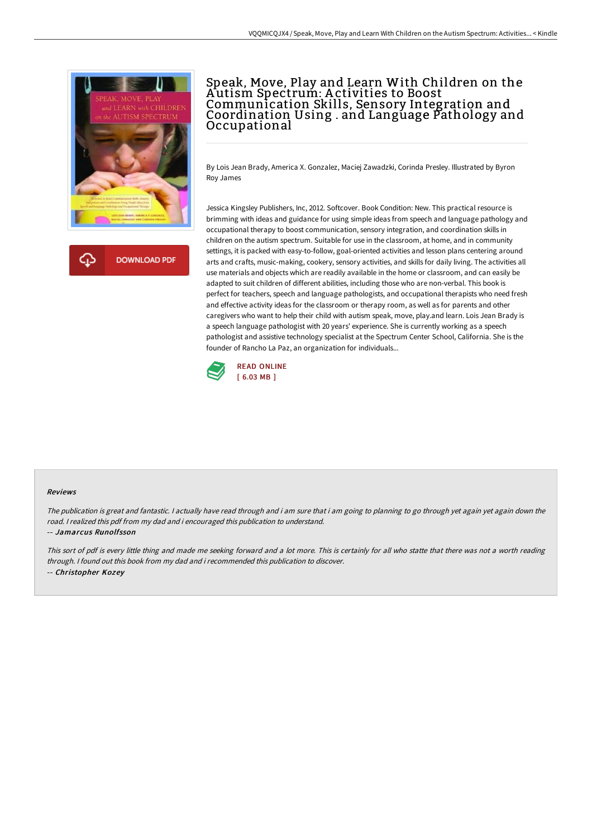

**DOWNLOAD PDF** 

## Speak, Move, Play and Learn With Children on the A utism Spectrum: A ctivities to Boost Communication Skills, Sensory Integration and Coordination Using . and Language Pathology and Occupational

By Lois Jean Brady, America X. Gonzalez, Maciej Zawadzki, Corinda Presley. Illustrated by Byron Roy James

Jessica Kingsley Publishers, Inc, 2012. Softcover. Book Condition: New. This practical resource is brimming with ideas and guidance for using simple ideas from speech and language pathology and occupational therapy to boost communication, sensory integration, and coordination skills in children on the autism spectrum. Suitable for use in the classroom, at home, and in community settings, it is packed with easy-to-follow, goal-oriented activities and lesson plans centering around arts and crafts, music-making, cookery, sensory activities, and skills for daily living. The activities all use materials and objects which are readily available in the home or classroom, and can easily be adapted to suit children of different abilities, including those who are non-verbal. This book is perfect for teachers, speech and language pathologists, and occupational therapists who need fresh and effective activity ideas for the classroom or therapy room, as well as for parents and other caregivers who want to help their child with autism speak, move, play.and learn. Lois Jean Brady is a speech language pathologist with 20 years' experience. She is currently working as a speech pathologist and assistive technology specialist at the Spectrum Center School, California. She is the founder of Rancho La Paz, an organization for individuals...



## Reviews

The publication is great and fantastic. <sup>I</sup> actually have read through and i am sure that i am going to planning to go through yet again yet again down the road. <sup>I</sup> realized this pdf from my dad and i encouraged this publication to understand.

-- Jamarcus Runolfsson

This sort of pdf is every little thing and made me seeking forward and <sup>a</sup> lot more. This is certainly for all who statte that there was not <sup>a</sup> worth reading through. <sup>I</sup> found out this book from my dad and i recommended this publication to discover. -- Christopher Kozey